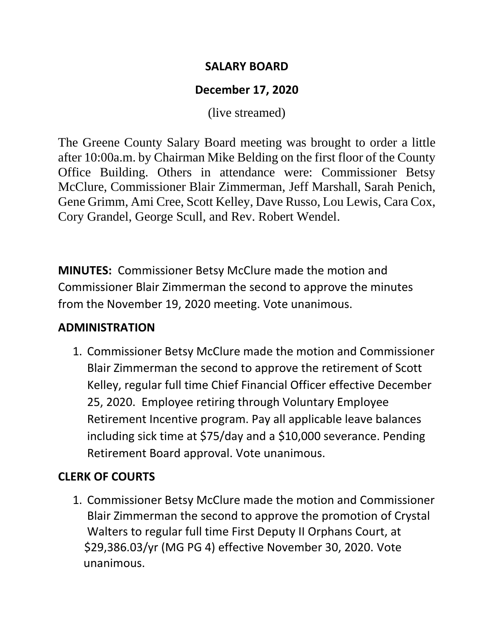#### **SALARY BOARD**

### **December 17, 2020**

(live streamed)

The Greene County Salary Board meeting was brought to order a little after 10:00a.m. by Chairman Mike Belding on the first floor of the County Office Building. Others in attendance were: Commissioner Betsy McClure, Commissioner Blair Zimmerman, Jeff Marshall, Sarah Penich, Gene Grimm, Ami Cree, Scott Kelley, Dave Russo, Lou Lewis, Cara Cox, Cory Grandel, George Scull, and Rev. Robert Wendel.

**MINUTES:** Commissioner Betsy McClure made the motion and Commissioner Blair Zimmerman the second to approve the minutes from the November 19, 2020 meeting. Vote unanimous.

#### **ADMINISTRATION**

1. Commissioner Betsy McClure made the motion and Commissioner Blair Zimmerman the second to approve the retirement of Scott Kelley, regular full time Chief Financial Officer effective December 25, 2020. Employee retiring through Voluntary Employee Retirement Incentive program. Pay all applicable leave balances including sick time at \$75/day and a \$10,000 severance. Pending Retirement Board approval. Vote unanimous.

# **CLERK OF COURTS**

1. Commissioner Betsy McClure made the motion and Commissioner Blair Zimmerman the second to approve the promotion of Crystal Walters to regular full time First Deputy II Orphans Court, at \$29,386.03/yr (MG PG 4) effective November 30, 2020. Vote unanimous.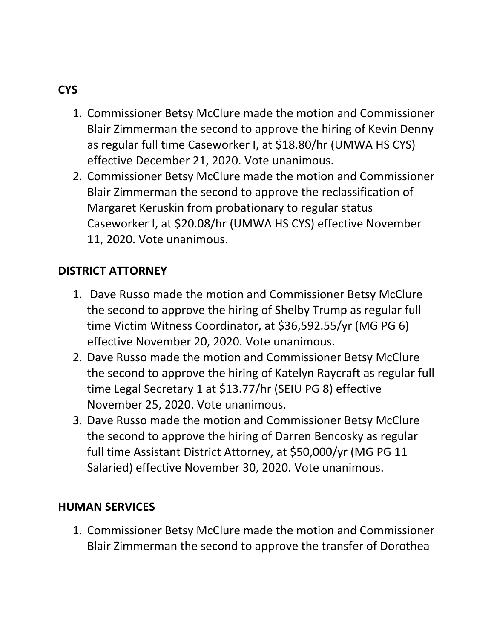# **CYS**

- 1. Commissioner Betsy McClure made the motion and Commissioner Blair Zimmerman the second to approve the hiring of Kevin Denny as regular full time Caseworker I, at \$18.80/hr (UMWA HS CYS) effective December 21, 2020. Vote unanimous.
- 2. Commissioner Betsy McClure made the motion and Commissioner Blair Zimmerman the second to approve the reclassification of Margaret Keruskin from probationary to regular status Caseworker I, at \$20.08/hr (UMWA HS CYS) effective November 11, 2020. Vote unanimous.

#### **DISTRICT ATTORNEY**

- 1. Dave Russo made the motion and Commissioner Betsy McClure the second to approve the hiring of Shelby Trump as regular full time Victim Witness Coordinator, at \$36,592.55/yr (MG PG 6) effective November 20, 2020. Vote unanimous.
- 2. Dave Russo made the motion and Commissioner Betsy McClure the second to approve the hiring of Katelyn Raycraft as regular full time Legal Secretary 1 at \$13.77/hr (SEIU PG 8) effective November 25, 2020. Vote unanimous.
- 3. Dave Russo made the motion and Commissioner Betsy McClure the second to approve the hiring of Darren Bencosky as regular full time Assistant District Attorney, at \$50,000/yr (MG PG 11 Salaried) effective November 30, 2020. Vote unanimous.

#### **HUMAN SERVICES**

1. Commissioner Betsy McClure made the motion and Commissioner Blair Zimmerman the second to approve the transfer of Dorothea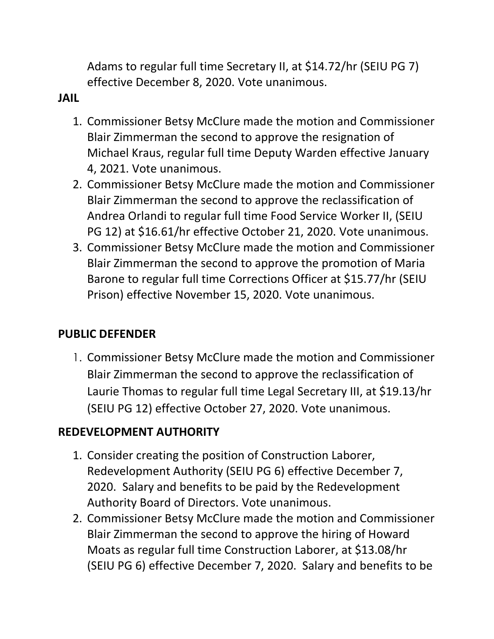Adams to regular full time Secretary II, at \$14.72/hr (SEIU PG 7) effective December 8, 2020. Vote unanimous.

#### **JAIL**

- 1. Commissioner Betsy McClure made the motion and Commissioner Blair Zimmerman the second to approve the resignation of Michael Kraus, regular full time Deputy Warden effective January 4, 2021. Vote unanimous.
- 2. Commissioner Betsy McClure made the motion and Commissioner Blair Zimmerman the second to approve the reclassification of Andrea Orlandi to regular full time Food Service Worker II, (SEIU PG 12) at \$16.61/hr effective October 21, 2020. Vote unanimous.
- 3. Commissioner Betsy McClure made the motion and Commissioner Blair Zimmerman the second to approve the promotion of Maria Barone to regular full time Corrections Officer at \$15.77/hr (SEIU Prison) effective November 15, 2020. Vote unanimous.

#### **PUBLIC DEFENDER**

1. Commissioner Betsy McClure made the motion and Commissioner Blair Zimmerman the second to approve the reclassification of Laurie Thomas to regular full time Legal Secretary III, at \$19.13/hr (SEIU PG 12) effective October 27, 2020. Vote unanimous.

# **REDEVELOPMENT AUTHORITY**

- 1. Consider creating the position of Construction Laborer, Redevelopment Authority (SEIU PG 6) effective December 7, 2020. Salary and benefits to be paid by the Redevelopment Authority Board of Directors. Vote unanimous.
- 2. Commissioner Betsy McClure made the motion and Commissioner Blair Zimmerman the second to approve the hiring of Howard Moats as regular full time Construction Laborer, at \$13.08/hr (SEIU PG 6) effective December 7, 2020. Salary and benefits to be